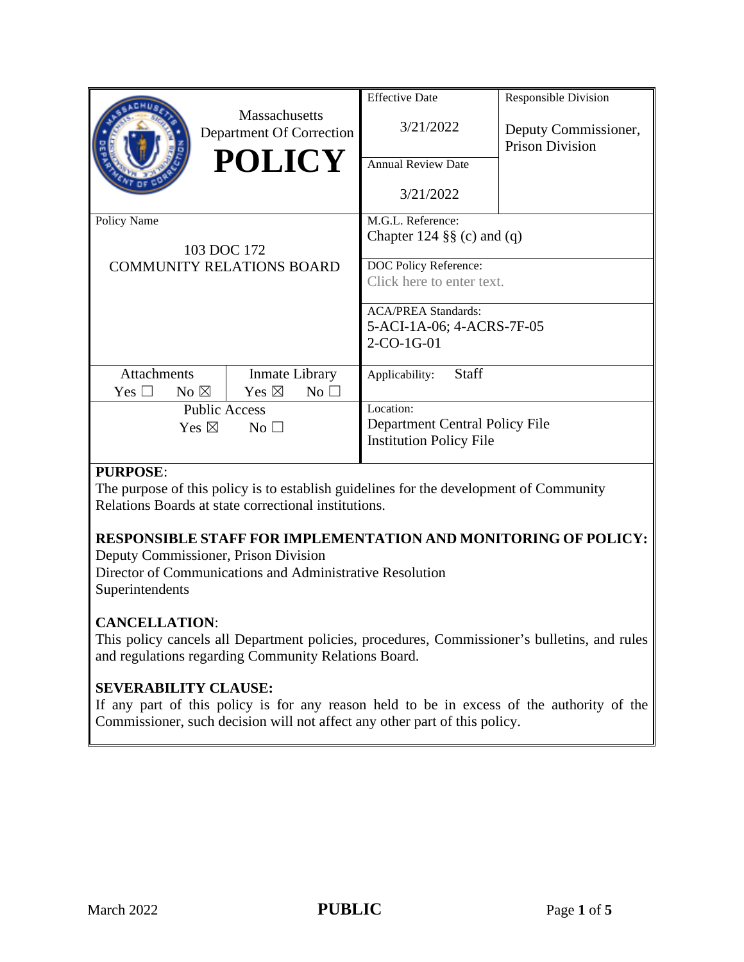|                                                                                               | <b>Massachusetts</b><br>Department Of Correction<br><b>POLICY</b>             | <b>Effective Date</b><br>3/21/2022<br><b>Annual Review Date</b><br>3/21/2022                                                                                                     | <b>Responsible Division</b><br>Deputy Commissioner,<br><b>Prison Division</b> |
|-----------------------------------------------------------------------------------------------|-------------------------------------------------------------------------------|----------------------------------------------------------------------------------------------------------------------------------------------------------------------------------|-------------------------------------------------------------------------------|
| Policy Name<br>103 DOC 172<br><b>COMMUNITY RELATIONS BOARD</b>                                |                                                                               | M.G.L. Reference:<br>Chapter 124 $\S$ (c) and (q)<br>DOC Policy Reference:<br>Click here to enter text.<br><b>ACA/PREA Standards:</b><br>5-ACI-1A-06; 4-ACRS-7F-05<br>2-CO-1G-01 |                                                                               |
| <b>Attachments</b><br>No $\boxtimes$<br>Yes $\Box$<br><b>Public Access</b><br>Yes $\boxtimes$ | Inmate Library<br>Yes $\boxtimes$<br>$No$ $\square$<br>$\overline{\text{No}}$ | <b>Staff</b><br>Applicability:<br>Location:<br>Department Central Policy File<br><b>Institution Policy File</b>                                                                  |                                                                               |

# **PURPOSE**:

The purpose of this policy is to establish guidelines for the development of Community Relations Boards at state correctional institutions.

# **RESPONSIBLE STAFF FOR IMPLEMENTATION AND MONITORING OF POLICY:**

Deputy Commissioner, Prison Division

Director of Communications and Administrative Resolution Superintendents

# **CANCELLATION**:

This policy cancels all Department policies, procedures, Commissioner's bulletins, and rules and regulations regarding Community Relations Board.

# **SEVERABILITY CLAUSE:**

If any part of this policy is for any reason held to be in excess of the authority of the Commissioner, such decision will not affect any other part of this policy.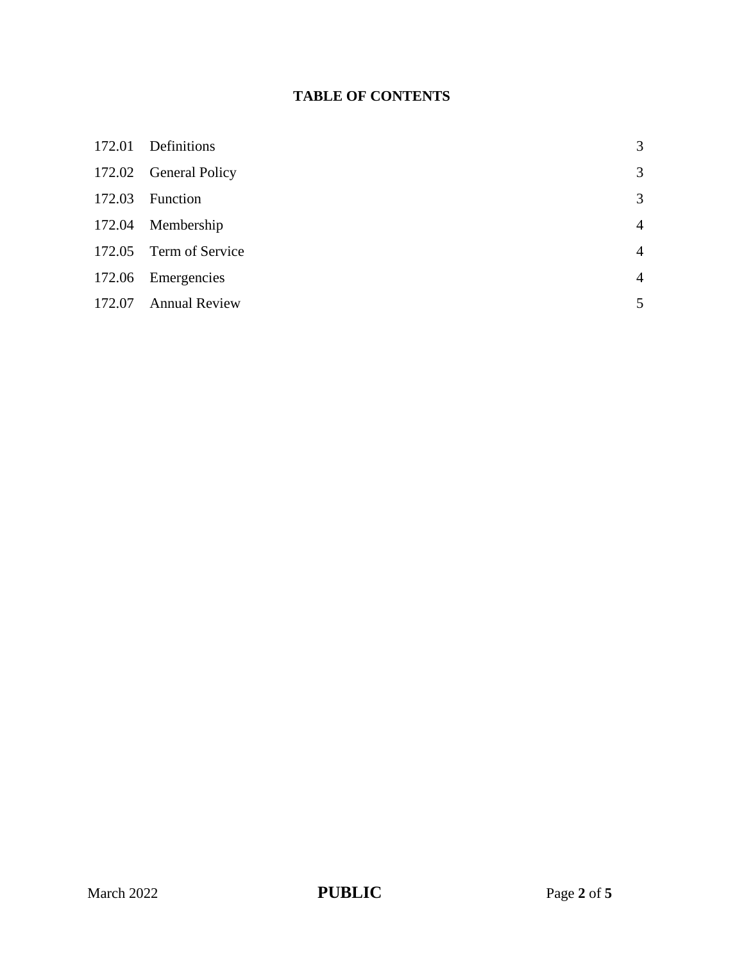# **TABLE OF CONTENTS**

| 172.01 | Definitions            | 3              |
|--------|------------------------|----------------|
|        | 172.02 General Policy  | 3              |
| 172.03 | Function               | 3              |
| 172.04 | Membership             | $\overline{4}$ |
|        | 172.05 Term of Service | $\overline{4}$ |
|        | 172.06 Emergencies     | $\overline{4}$ |
| 172.07 | <b>Annual Review</b>   | 5              |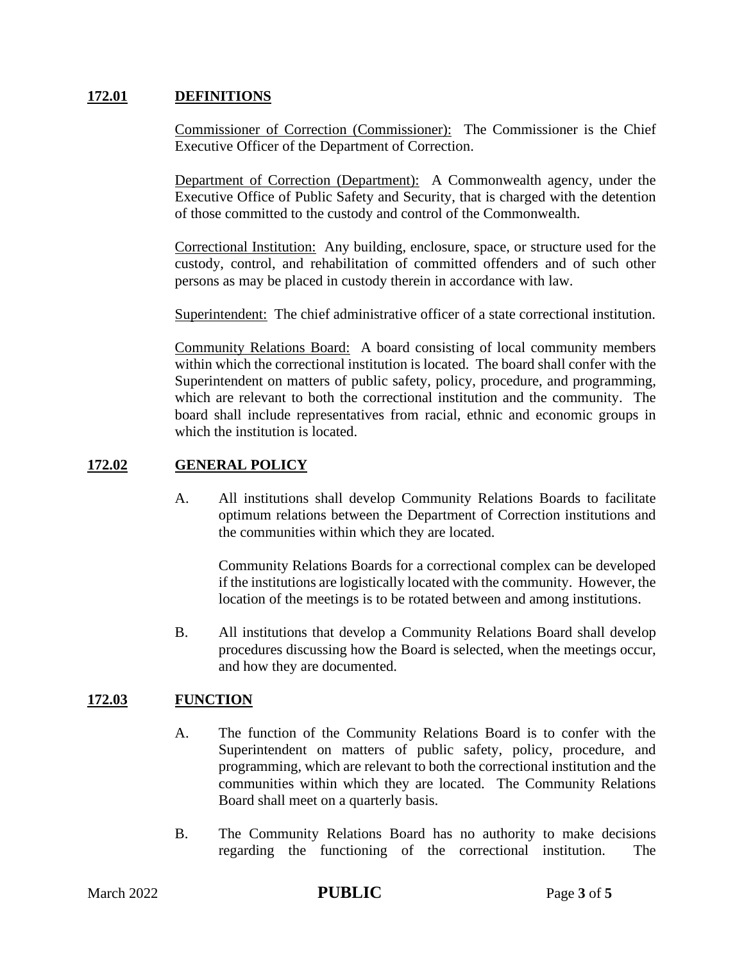#### **172.01 DEFINITIONS**

Commissioner of Correction (Commissioner): The Commissioner is the Chief Executive Officer of the Department of Correction.

Department of Correction (Department): A Commonwealth agency, under the Executive Office of Public Safety and Security, that is charged with the detention of those committed to the custody and control of the Commonwealth.

Correctional Institution: Any building, enclosure, space, or structure used for the custody, control, and rehabilitation of committed offenders and of such other persons as may be placed in custody therein in accordance with law.

Superintendent: The chief administrative officer of a state correctional institution.

Community Relations Board: A board consisting of local community members within which the correctional institution is located. The board shall confer with the Superintendent on matters of public safety, policy, procedure, and programming, which are relevant to both the correctional institution and the community. The board shall include representatives from racial, ethnic and economic groups in which the institution is located.

#### **172.02 GENERAL POLICY**

A. All institutions shall develop Community Relations Boards to facilitate optimum relations between the Department of Correction institutions and the communities within which they are located.

Community Relations Boards for a correctional complex can be developed if the institutions are logistically located with the community. However, the location of the meetings is to be rotated between and among institutions.

B. All institutions that develop a Community Relations Board shall develop procedures discussing how the Board is selected, when the meetings occur, and how they are documented.

# **172.03 FUNCTION**

- A. The function of the Community Relations Board is to confer with the Superintendent on matters of public safety, policy, procedure, and programming, which are relevant to both the correctional institution and the communities within which they are located. The Community Relations Board shall meet on a quarterly basis.
- B. The Community Relations Board has no authority to make decisions regarding the functioning of the correctional institution. The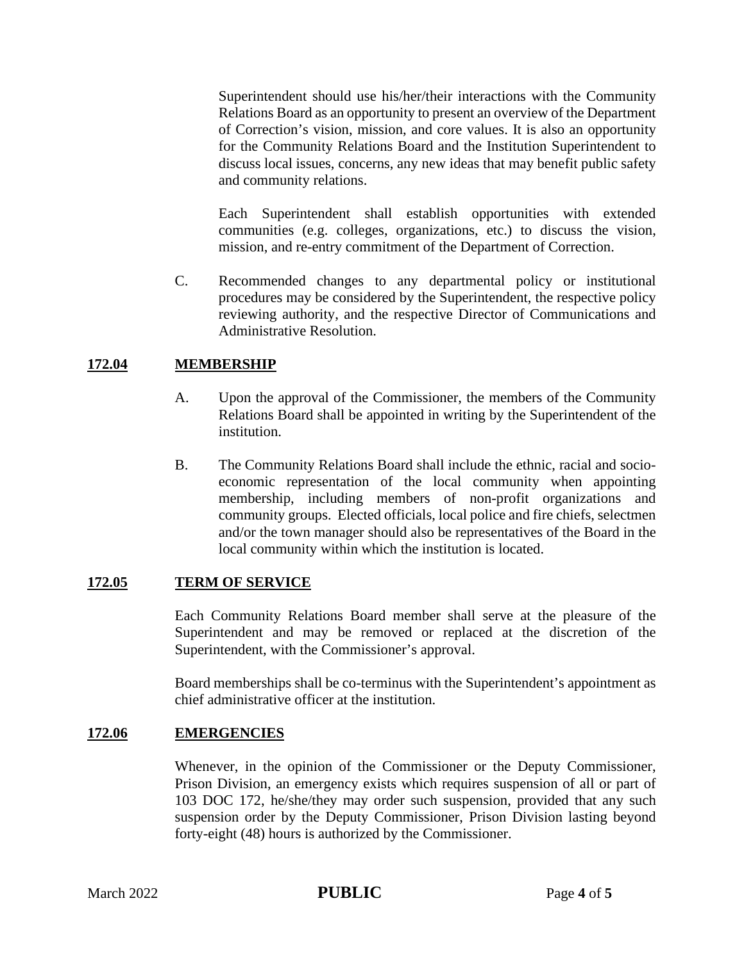Superintendent should use his/her/their interactions with the Community Relations Board as an opportunity to present an overview of the Department of Correction's vision, mission, and core values. It is also an opportunity for the Community Relations Board and the Institution Superintendent to discuss local issues, concerns, any new ideas that may benefit public safety and community relations.

Each Superintendent shall establish opportunities with extended communities (e.g. colleges, organizations, etc.) to discuss the vision, mission, and re-entry commitment of the Department of Correction.

C. Recommended changes to any departmental policy or institutional procedures may be considered by the Superintendent, the respective policy reviewing authority, and the respective Director of Communications and Administrative Resolution.

# **172.04 MEMBERSHIP**

- A. Upon the approval of the Commissioner, the members of the Community Relations Board shall be appointed in writing by the Superintendent of the institution.
- B. The Community Relations Board shall include the ethnic, racial and socioeconomic representation of the local community when appointing membership, including members of non-profit organizations and community groups. Elected officials, local police and fire chiefs, selectmen and/or the town manager should also be representatives of the Board in the local community within which the institution is located.

# **172.05 TERM OF SERVICE**

Each Community Relations Board member shall serve at the pleasure of the Superintendent and may be removed or replaced at the discretion of the Superintendent, with the Commissioner's approval.

Board memberships shall be co-terminus with the Superintendent's appointment as chief administrative officer at the institution.

# **172.06 EMERGENCIES**

Whenever, in the opinion of the Commissioner or the Deputy Commissioner, Prison Division, an emergency exists which requires suspension of all or part of 103 DOC 172, he/she/they may order such suspension, provided that any such suspension order by the Deputy Commissioner, Prison Division lasting beyond forty-eight (48) hours is authorized by the Commissioner.